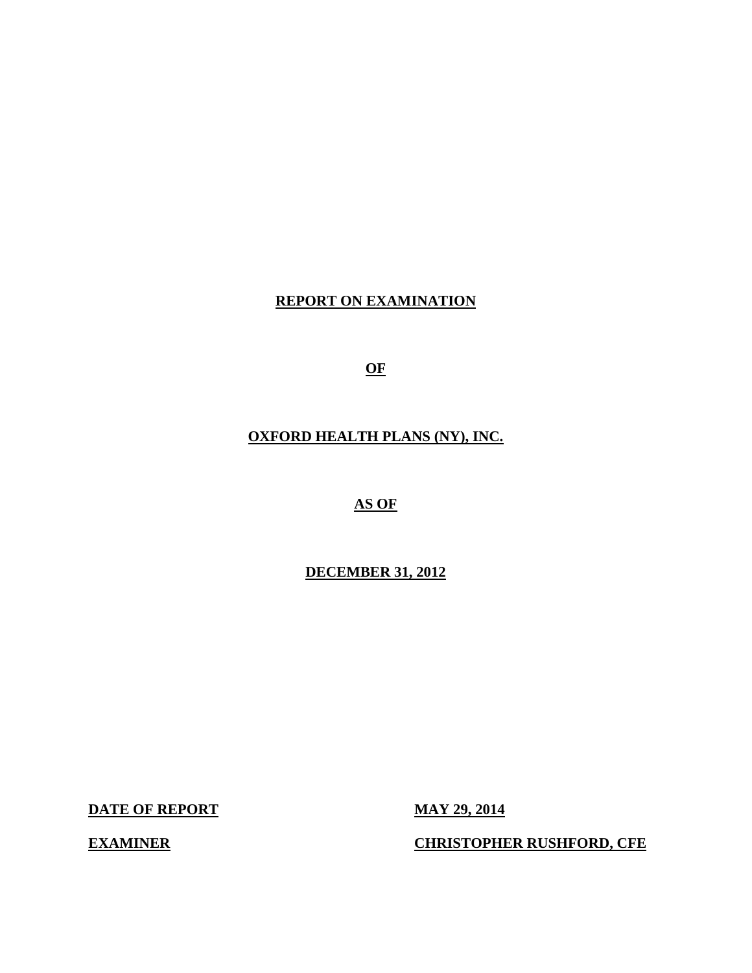# **REPORT ON EXAMINATION**

**OF** 

**OXFORD HEALTH PLANS (NY), INC.** 

**AS OF** 

**DECEMBER 31, 2012** 

**DATE OF REPORT MAY 29, 2014** 

**EXAMINER CHRISTOPHER RUSHFORD, CFE**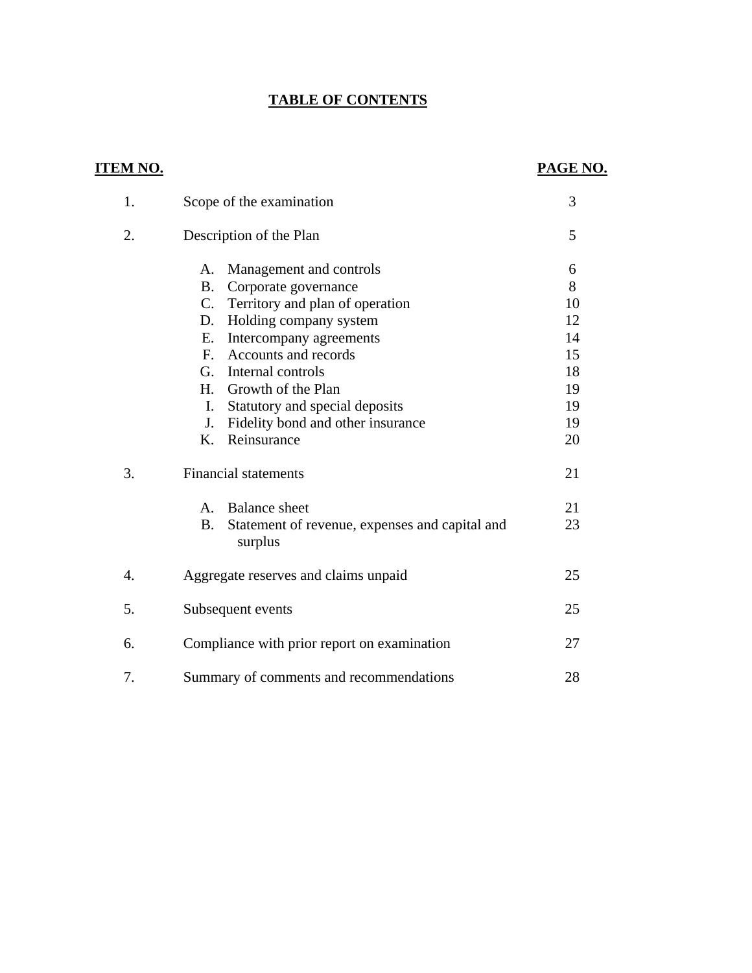# **TABLE OF CONTENTS**

| <u>TEM NO.</u> |                                                                        | PAGE NO. |
|----------------|------------------------------------------------------------------------|----------|
| 1.             | Scope of the examination                                               | 3        |
| 2.             | Description of the Plan                                                | 5        |
|                | Management and controls<br>А.                                          | 6        |
|                | <b>B.</b><br>Corporate governance                                      | 8        |
|                | C. Territory and plan of operation                                     | 10       |
|                | D. Holding company system                                              | 12       |
|                | Intercompany agreements<br>Е.                                          | 14       |
|                | F. Accounts and records                                                | 15       |
|                | G. Internal controls                                                   | 18       |
|                | H. Growth of the Plan                                                  | 19       |
|                | I.<br>Statutory and special deposits                                   | 19       |
|                | J.<br>Fidelity bond and other insurance                                | 19       |
|                | K.<br>Reinsurance                                                      | 20       |
| 3.             | <b>Financial statements</b>                                            | 21       |
|                | <b>Balance</b> sheet<br>A.                                             | 21       |
|                | <b>B.</b><br>Statement of revenue, expenses and capital and<br>surplus | 23       |
| 4.             | Aggregate reserves and claims unpaid                                   | 25       |
| 5.             | Subsequent events                                                      | 25       |
| 6.             | Compliance with prior report on examination                            | 27       |
| 7.             | Summary of comments and recommendations                                | 28       |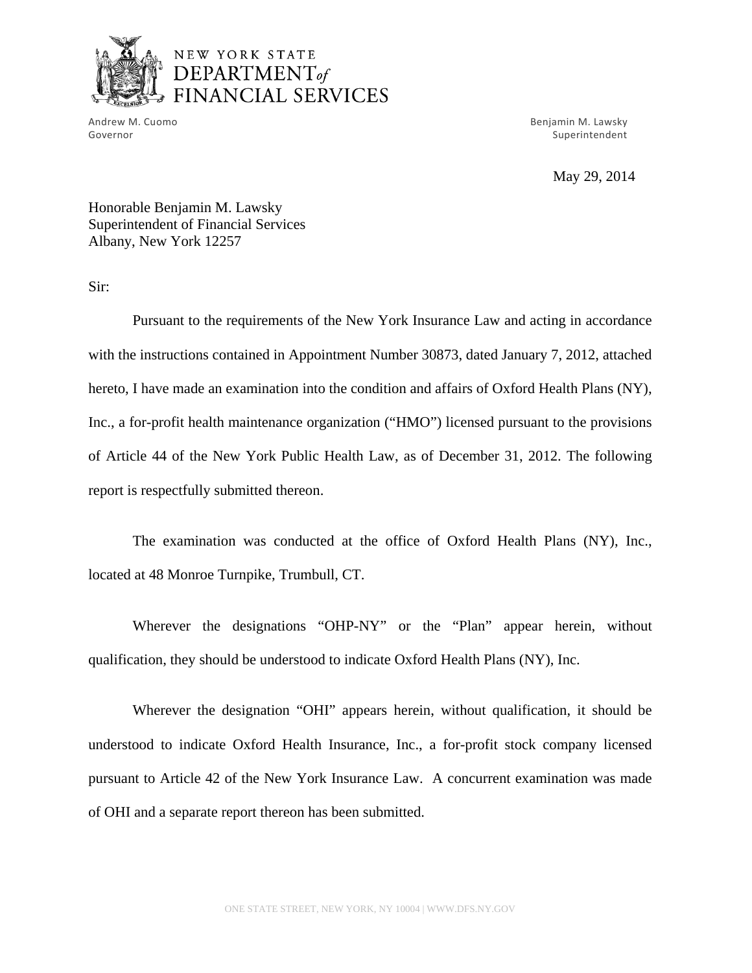

 Andrew M. Cuomo Benjamin M. Lawsky Governor Superintendent Superintendent Superintendent Superintendent Superintendent Superintendent Superintendent Superintendent Superintendent Superintendent Superintendent Superintendent Superintendent Superintendent Sup

May 29, 2014

Honorable Benjamin M. Lawsky Superintendent of Financial Services Albany, New York 12257

Sir:

Pursuant to the requirements of the New York Insurance Law and acting in accordance with the instructions contained in Appointment Number 30873, dated January 7, 2012, attached hereto, I have made an examination into the condition and affairs of Oxford Health Plans (NY), Inc., a for-profit health maintenance organization ("HMO") licensed pursuant to the provisions of Article 44 of the New York Public Health Law, as of December 31, 2012. The following report is respectfully submitted thereon.

The examination was conducted at the office of Oxford Health Plans (NY), Inc., located at 48 Monroe Turnpike, Trumbull, CT.

Wherever the designations "OHP-NY" or the "Plan" appear herein, without qualification, they should be understood to indicate Oxford Health Plans (NY), Inc.

Wherever the designation "OHI" appears herein, without qualification, it should be understood to indicate Oxford Health Insurance, Inc., a for-profit stock company licensed pursuant to Article 42 of the New York Insurance Law. A concurrent examination was made of OHI and a separate report thereon has been submitted.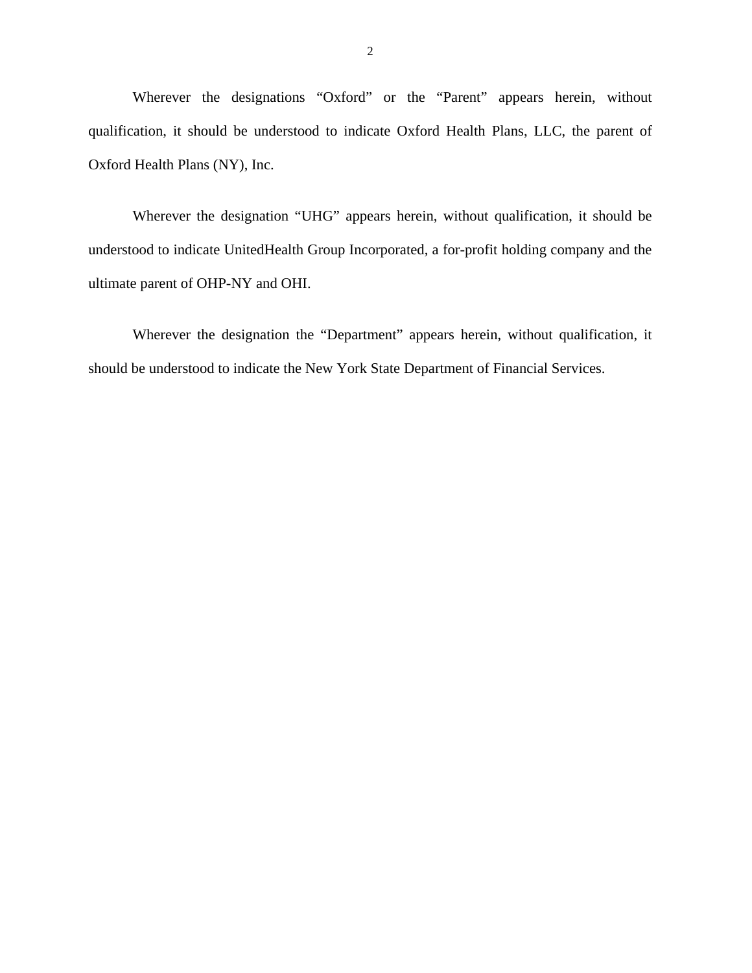Wherever the designations "Oxford" or the "Parent" appears herein, without qualification, it should be understood to indicate Oxford Health Plans, LLC, the parent of Oxford Health Plans (NY), Inc.

Wherever the designation "UHG" appears herein, without qualification, it should be understood to indicate UnitedHealth Group Incorporated, a for-profit holding company and the ultimate parent of OHP-NY and OHI.

Wherever the designation the "Department" appears herein, without qualification, it should be understood to indicate the New York State Department of Financial Services.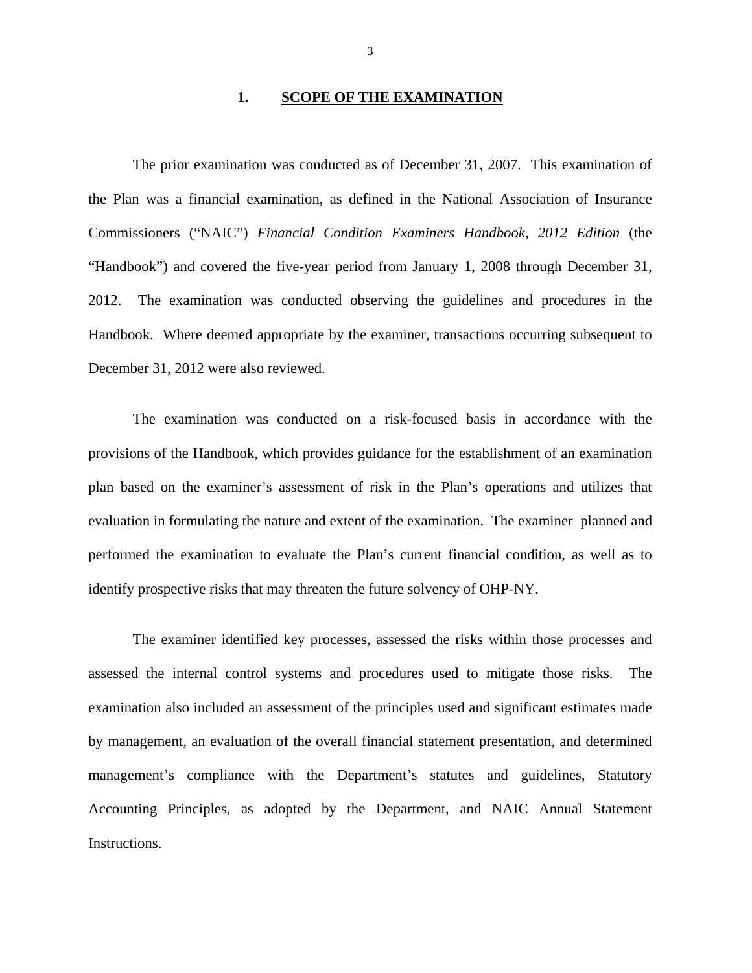### **1. SCOPE OF THE EXAMINATION**

The prior examination was conducted as of December 31, 2007. This examination of the Plan was a financial examination, as defined in the National Association of Insurance Commissioners ("NAIC") *Financial Condition Examiners Handbook*, *2012 Edition* (the "Handbook") and covered the five-year period from January 1, 2008 through December 31, 2012. The examination was conducted observing the guidelines and procedures in the Handbook. Where deemed appropriate by the examiner, transactions occurring subsequent to December 31, 2012 were also reviewed.

The examination was conducted on a risk-focused basis in accordance with the provisions of the Handbook, which provides guidance for the establishment of an examination plan based on the examiner's assessment of risk in the Plan's operations and utilizes that evaluation in formulating the nature and extent of the examination. The examiner planned and performed the examination to evaluate the Plan's current financial condition, as well as to identify prospective risks that may threaten the future solvency of OHP-NY.

The examiner identified key processes, assessed the risks within those processes and assessed the internal control systems and procedures used to mitigate those risks. The examination also included an assessment of the principles used and significant estimates made by management, an evaluation of the overall financial statement presentation, and determined management's compliance with the Department's statutes and guidelines, Statutory Accounting Principles, as adopted by the Department, and NAIC Annual Statement Instructions.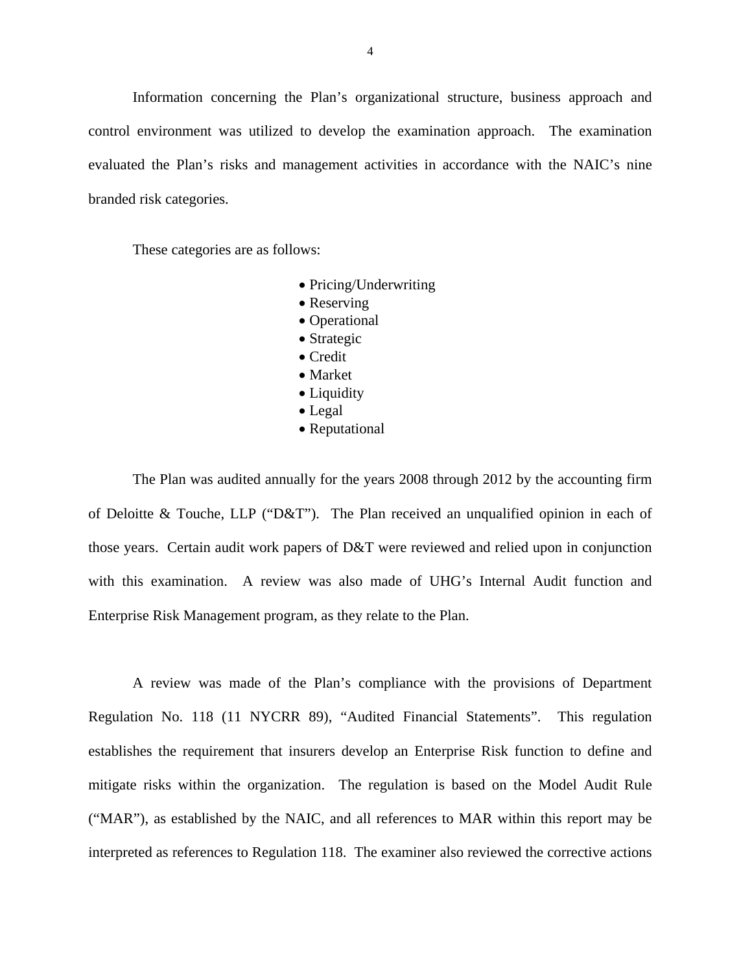Information concerning the Plan's organizational structure, business approach and control environment was utilized to develop the examination approach. The examination evaluated the Plan's risks and management activities in accordance with the NAIC's nine branded risk categories.

These categories are as follows:

- Pricing/Underwriting
- Reserving
- Operational
- Strategic
- Credit
- Market
- Liquidity
- Legal
- Reputational

The Plan was audited annually for the years 2008 through 2012 by the accounting firm of Deloitte & Touche, LLP ("D&T"). The Plan received an unqualified opinion in each of those years. Certain audit work papers of D&T were reviewed and relied upon in conjunction with this examination. A review was also made of UHG's Internal Audit function and Enterprise Risk Management program, as they relate to the Plan.

A review was made of the Plan's compliance with the provisions of Department Regulation No. 118 (11 NYCRR 89), "Audited Financial Statements". This regulation establishes the requirement that insurers develop an Enterprise Risk function to define and mitigate risks within the organization. The regulation is based on the Model Audit Rule ("MAR"), as established by the NAIC, and all references to MAR within this report may be interpreted as references to Regulation 118. The examiner also reviewed the corrective actions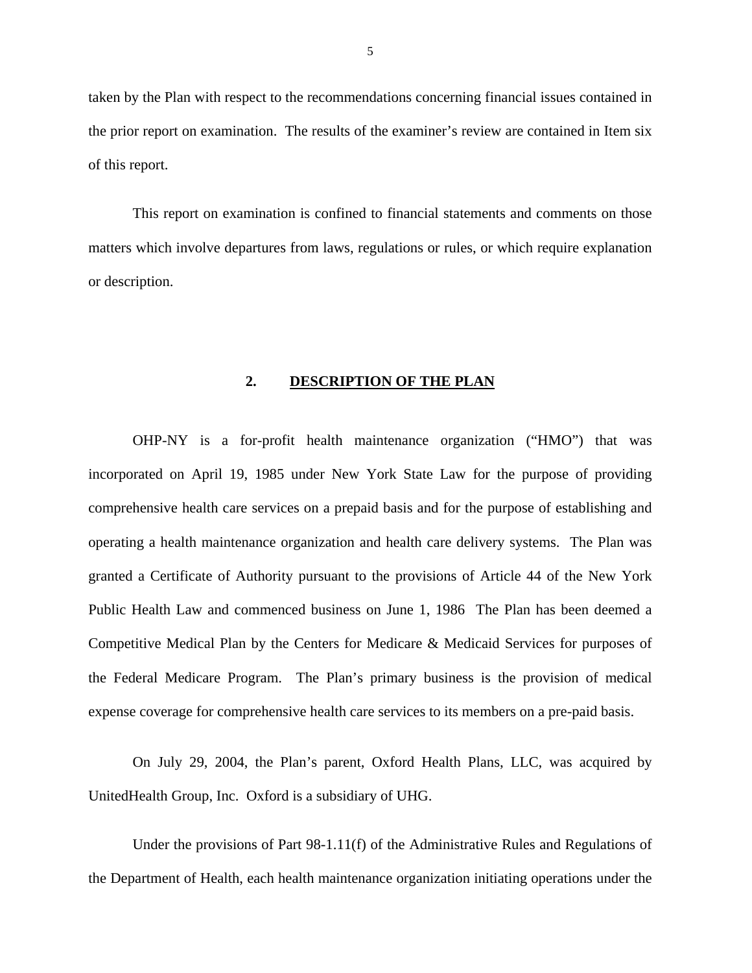taken by the Plan with respect to the recommendations concerning financial issues contained in the prior report on examination. The results of the examiner's review are contained in Item six of this report.

This report on examination is confined to financial statements and comments on those matters which involve departures from laws, regulations or rules, or which require explanation or description.

### **2. DESCRIPTION OF THE PLAN**

OHP-NY is a for-profit health maintenance organization ("HMO") that was incorporated on April 19, 1985 under New York State Law for the purpose of providing comprehensive health care services on a prepaid basis and for the purpose of establishing and operating a health maintenance organization and health care delivery systems. The Plan was granted a Certificate of Authority pursuant to the provisions of Article 44 of the New York Public Health Law and commenced business on June 1, 1986 The Plan has been deemed a Competitive Medical Plan by the Centers for Medicare & Medicaid Services for purposes of the Federal Medicare Program. The Plan's primary business is the provision of medical expense coverage for comprehensive health care services to its members on a pre-paid basis.

On July 29, 2004, the Plan's parent, Oxford Health Plans, LLC, was acquired by UnitedHealth Group, Inc. Oxford is a subsidiary of UHG.

Under the provisions of Part 98-1.11(f) of the Administrative Rules and Regulations of the Department of Health, each health maintenance organization initiating operations under the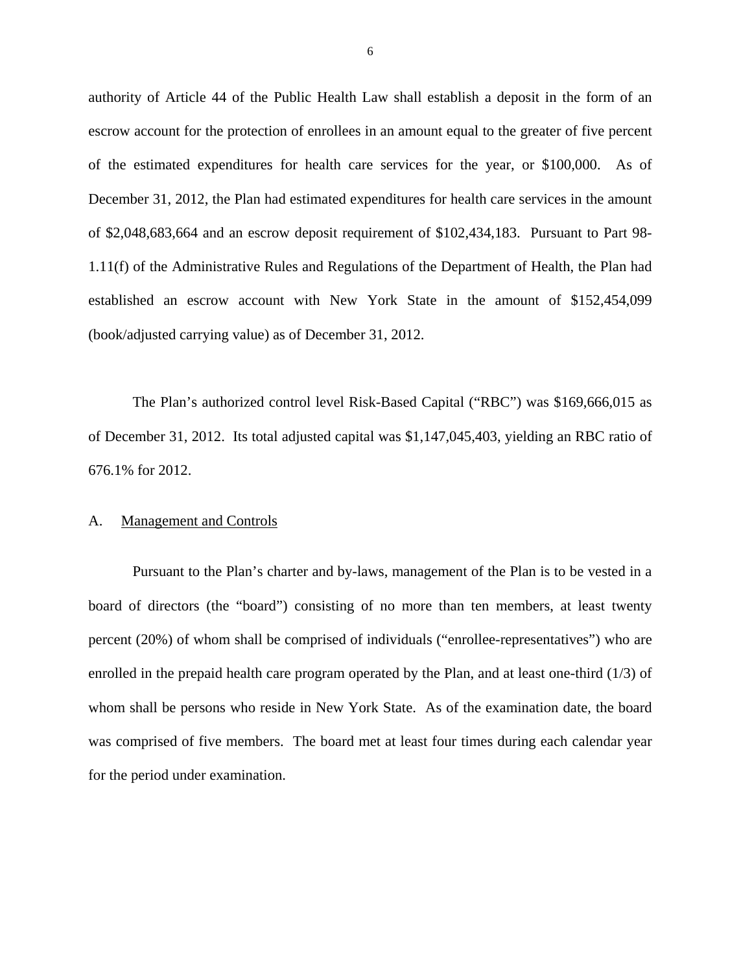<span id="page-7-0"></span>authority of Article 44 of the Public Health Law shall establish a deposit in the form of an escrow account for the protection of enrollees in an amount equal to the greater of five percent of the estimated expenditures for health care services for the year, or \$100,000. As of December 31, 2012, the Plan had estimated expenditures for health care services in the amount of \$2,048,683,664 and an escrow deposit requirement of \$102,434,183. Pursuant to Part 98- 1.11(f) of the Administrative Rules and Regulations of the Department of Health, the Plan had established an escrow account with New York State in the amount of \$152,454,099 (book/adjusted carrying value) as of December 31, 2012.

The Plan's authorized control level Risk-Based Capital ("RBC") was \$169,666,015 as of December 31, 2012. Its total adjusted capital was \$1,147,045,403, yielding an RBC ratio of 676.1% for 2012.

### A. Management and Controls

Pursuant to the Plan's charter and by-laws, management of the Plan is to be vested in a board of directors (the "board") consisting of no more than ten members, at least twenty percent (20%) of whom shall be comprised of individuals ("enrollee-representatives") who are enrolled in the prepaid health care program operated by the Plan, and at least one-third (1/3) of whom shall be persons who reside in New York State. As of the examination date, the board was comprised of five members. The board met at least four times during each calendar year for the period under examination.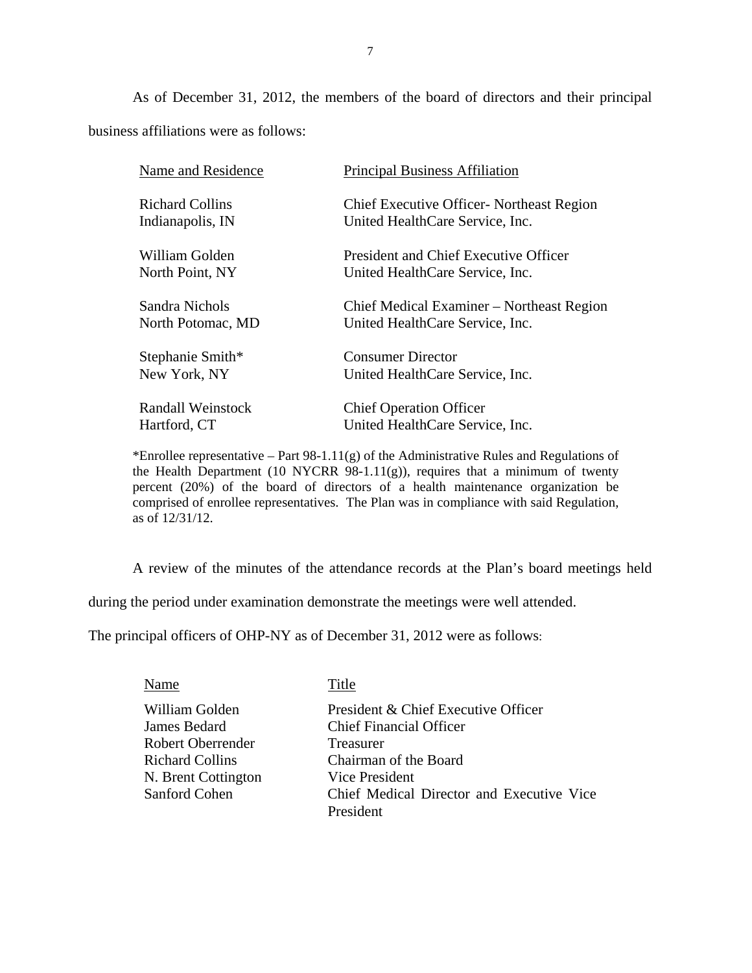As of December 31, 2012, the members of the board of directors and their principal business affiliations were as follows:

| Name and Residence       | <b>Principal Business Affiliation</b>        |
|--------------------------|----------------------------------------------|
| <b>Richard Collins</b>   | Chief Executive Officer - Northeast Region   |
| Indianapolis, IN         | United HealthCare Service, Inc.              |
| William Golden           | <b>President and Chief Executive Officer</b> |
| North Point, NY          | United HealthCare Service, Inc.              |
| Sandra Nichols           | Chief Medical Examiner – Northeast Region    |
| North Potomac, MD        | United HealthCare Service, Inc.              |
| Stephanie Smith*         | <b>Consumer Director</b>                     |
| New York, NY             | United HealthCare Service, Inc.              |
| <b>Randall Weinstock</b> | <b>Chief Operation Officer</b>               |
| Hartford, CT             | United HealthCare Service, Inc.              |

\*Enrollee representative – Part 98-1.11 $(g)$  of the Administrative Rules and Regulations of the Health Department (10 NYCRR 98-1.11(g)), requires that a minimum of twenty percent (20%) of the board of directors of a health maintenance organization be comprised of enrollee representatives. The Plan was in compliance with said Regulation, as of 12/31/12.

A review of the minutes of the attendance records at the Plan's board meetings held

during the period under examination demonstrate the meetings were well attended.

The principal officers of OHP-NY as of December 31, 2012 were as follows:

| Name                     | Title                                     |
|--------------------------|-------------------------------------------|
| William Golden           | President & Chief Executive Officer       |
| James Bedard             | <b>Chief Financial Officer</b>            |
| <b>Robert Oberrender</b> | Treasurer                                 |
| Richard Collins          | Chairman of the Board                     |
| N. Brent Cottington      | Vice President                            |
| Sanford Cohen            | Chief Medical Director and Executive Vice |
|                          | President                                 |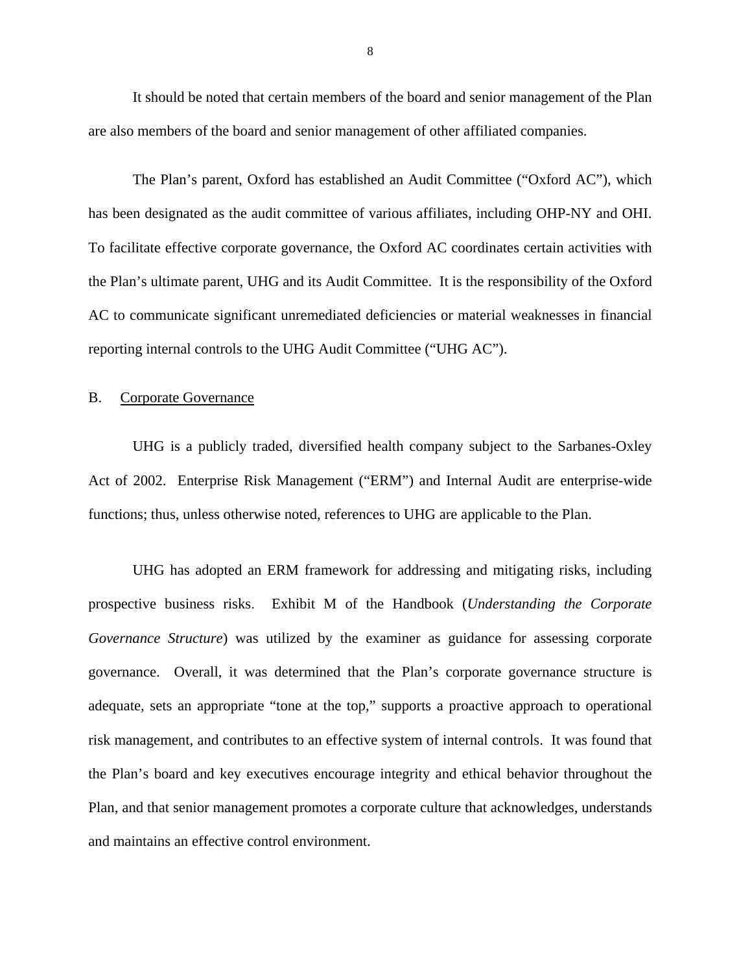<span id="page-9-0"></span>It should be noted that certain members of the board and senior management of the Plan are also members of the board and senior management of other affiliated companies.

The Plan's parent, Oxford has established an Audit Committee ("Oxford AC"), which has been designated as the audit committee of various affiliates, including OHP-NY and OHI. To facilitate effective corporate governance, the Oxford AC coordinates certain activities with the Plan's ultimate parent, UHG and its Audit Committee. It is the responsibility of the Oxford AC to communicate significant unremediated deficiencies or material weaknesses in financial reporting internal controls to the UHG Audit Committee ("UHG AC").

### B. Corporate Governance

UHG is a publicly traded, diversified health company subject to the Sarbanes-Oxley Act of 2002. Enterprise Risk Management ("ERM") and Internal Audit are enterprise-wide functions; thus, unless otherwise noted, references to UHG are applicable to the Plan.

UHG has adopted an ERM framework for addressing and mitigating risks, including prospective business risks. Exhibit M of the Handbook (*Understanding the Corporate Governance Structure*) was utilized by the examiner as guidance for assessing corporate governance. Overall, it was determined that the Plan's corporate governance structure is adequate, sets an appropriate "tone at the top," supports a proactive approach to operational risk management, and contributes to an effective system of internal controls. It was found that the Plan's board and key executives encourage integrity and ethical behavior throughout the Plan, and that senior management promotes a corporate culture that acknowledges, understands and maintains an effective control environment.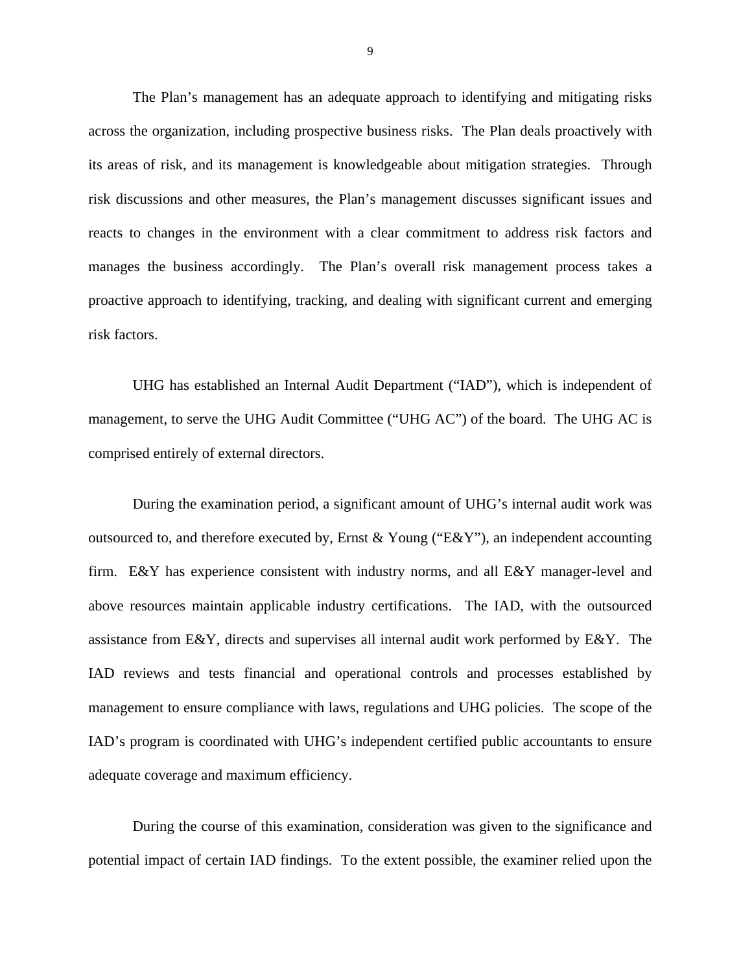The Plan's management has an adequate approach to identifying and mitigating risks across the organization, including prospective business risks. The Plan deals proactively with its areas of risk, and its management is knowledgeable about mitigation strategies. Through risk discussions and other measures, the Plan's management discusses significant issues and reacts to changes in the environment with a clear commitment to address risk factors and manages the business accordingly. The Plan's overall risk management process takes a proactive approach to identifying, tracking, and dealing with significant current and emerging risk factors.

UHG has established an Internal Audit Department ("IAD"), which is independent of management, to serve the UHG Audit Committee ("UHG AC") of the board. The UHG AC is comprised entirely of external directors.

During the examination period, a significant amount of UHG's internal audit work was outsourced to, and therefore executed by, Ernst & Young ("E&Y"), an independent accounting firm. E&Y has experience consistent with industry norms, and all E&Y manager-level and above resources maintain applicable industry certifications. The IAD, with the outsourced assistance from E&Y, directs and supervises all internal audit work performed by E&Y. The IAD reviews and tests financial and operational controls and processes established by management to ensure compliance with laws, regulations and UHG policies. The scope of the IAD's program is coordinated with UHG's independent certified public accountants to ensure adequate coverage and maximum efficiency.

During the course of this examination, consideration was given to the significance and potential impact of certain IAD findings. To the extent possible, the examiner relied upon the

9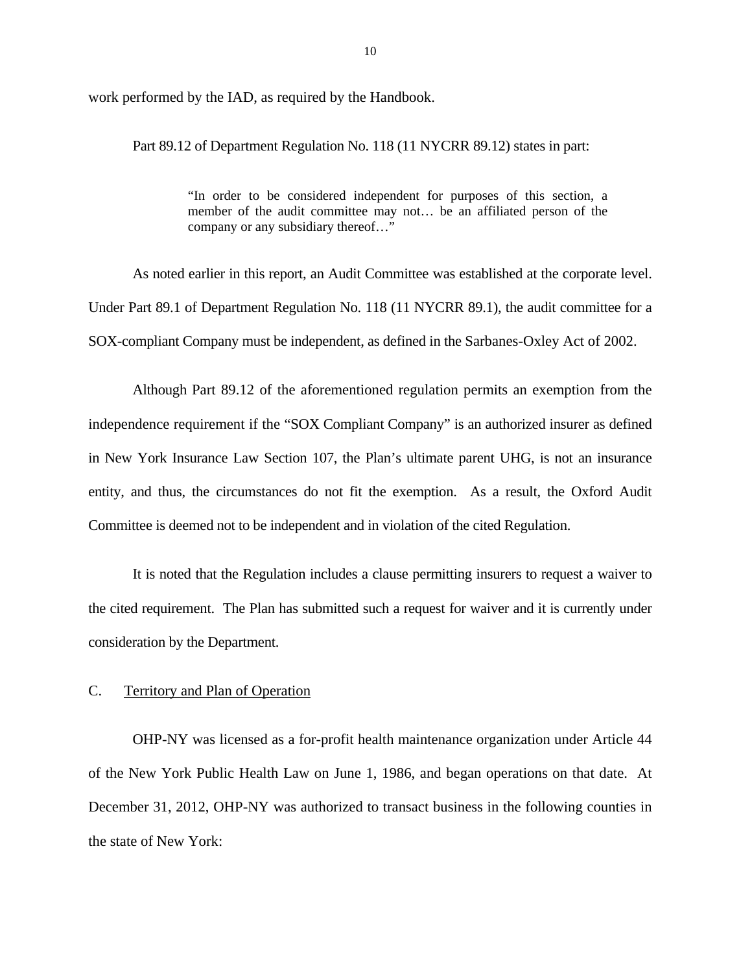<span id="page-11-0"></span>work performed by the IAD, as required by the Handbook.

Part 89.12 of Department Regulation No. 118 (11 NYCRR 89.12) states in part:

"In order to be considered independent for purposes of this section, a member of the audit committee may not… be an affiliated person of the company or any subsidiary thereof…"

As noted earlier in this report, an Audit Committee was established at the corporate level. Under Part 89.1 of Department Regulation No. 118 (11 NYCRR 89.1), the audit committee for a SOX-compliant Company must be independent, as defined in the Sarbanes-Oxley Act of 2002.

Although Part 89.12 of the aforementioned regulation permits an exemption from the independence requirement if the "SOX Compliant Company" is an authorized insurer as defined in New York Insurance Law Section 107, the Plan's ultimate parent UHG, is not an insurance entity, and thus, the circumstances do not fit the exemption. As a result, the Oxford Audit Committee is deemed not to be independent and in violation of the cited Regulation.

It is noted that the Regulation includes a clause permitting insurers to request a waiver to the cited requirement. The Plan has submitted such a request for waiver and it is currently under consideration by the Department.

### C. Territory and Plan of Operation

OHP-NY was licensed as a for-profit health maintenance organization under Article 44 of the New York Public Health Law on June 1, 1986, and began operations on that date. At December 31, 2012, OHP-NY was authorized to transact business in the following counties in the state of New York: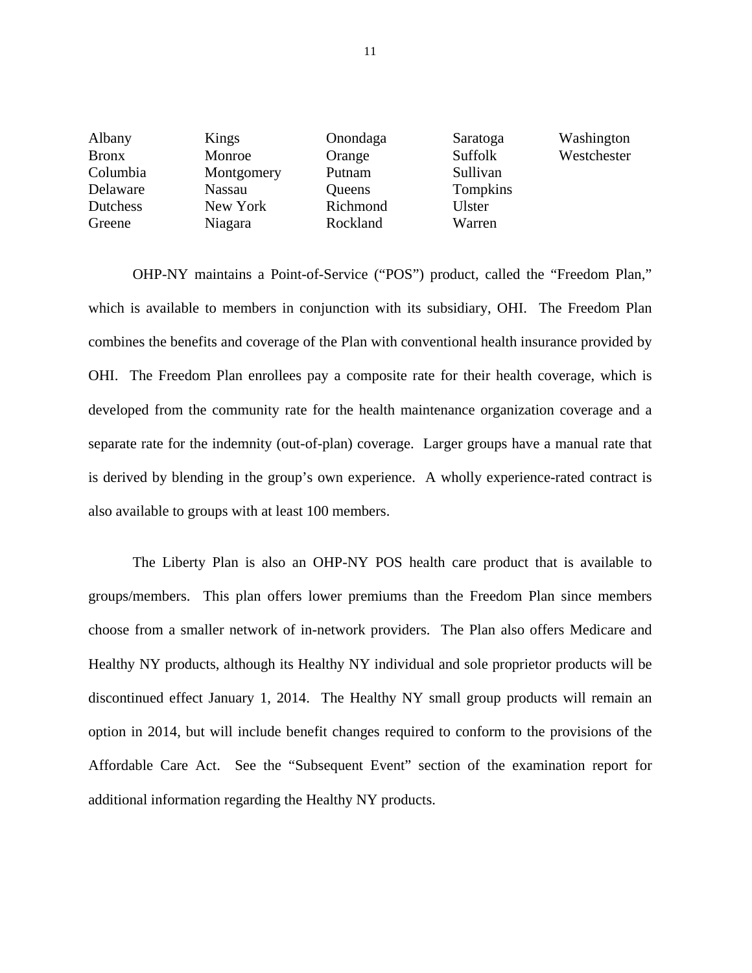| Albany          | Kings      | Onondaga | Saratoga | Washington  |
|-----------------|------------|----------|----------|-------------|
| <b>Bronx</b>    | Monroe     | Orange   | Suffolk  | Westchester |
| Columbia        | Montgomery | Putnam   | Sullivan |             |
| Delaware        | Nassau     | Queens   | Tompkins |             |
| <b>Dutchess</b> | New York   | Richmond | Ulster   |             |
| Greene          | Niagara    | Rockland | Warren   |             |

OHP-NY maintains a Point-of-Service ("POS") product, called the "Freedom Plan," which is available to members in conjunction with its subsidiary, OHI. The Freedom Plan combines the benefits and coverage of the Plan with conventional health insurance provided by OHI. The Freedom Plan enrollees pay a composite rate for their health coverage, which is developed from the community rate for the health maintenance organization coverage and a separate rate for the indemnity (out-of-plan) coverage. Larger groups have a manual rate that is derived by blending in the group's own experience. A wholly experience-rated contract is also available to groups with at least 100 members.

The Liberty Plan is also an OHP-NY POS health care product that is available to groups/members. This plan offers lower premiums than the Freedom Plan since members choose from a smaller network of in-network providers. The Plan also offers Medicare and Healthy NY products, although its Healthy NY individual and sole proprietor products will be discontinued effect January 1, 2014. The Healthy NY small group products will remain an option in 2014, but will include benefit changes required to conform to the provisions of the Affordable Care Act. See the "Subsequent Event" section of the examination report for additional information regarding the Healthy NY products.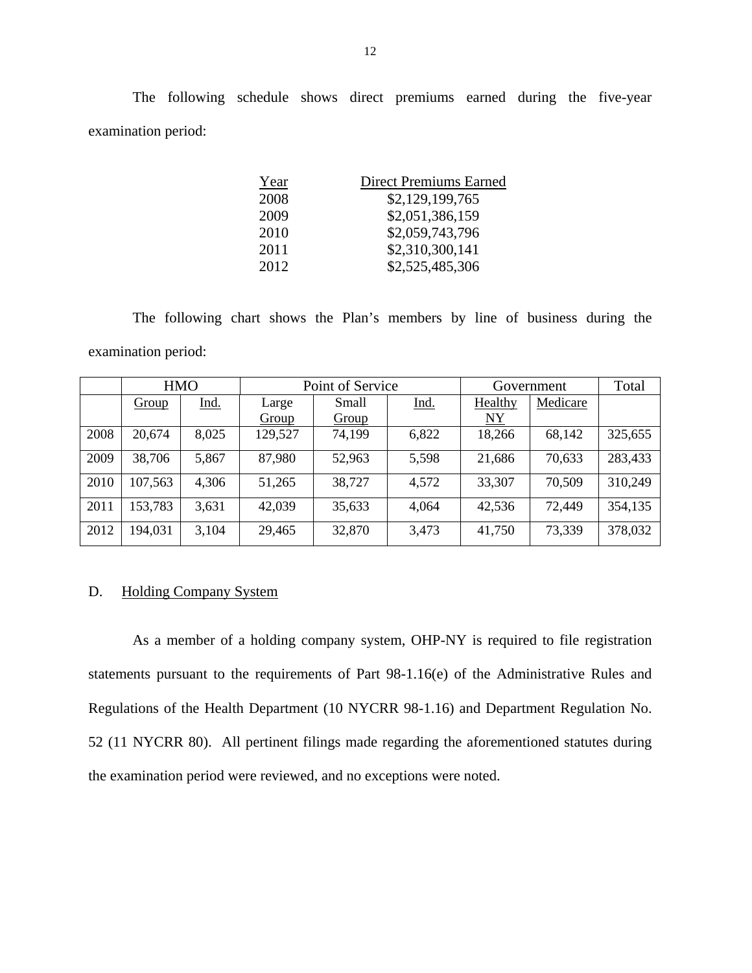The following schedule shows direct premiums earned during the five-year examination period:

| Year | <b>Direct Premiums Earned</b> |
|------|-------------------------------|
| 2008 | \$2,129,199,765               |
| 2009 | \$2,051,386,159               |
| 2010 | \$2,059,743,796               |
| 2011 | \$2,310,300,141               |
| 2012 | \$2,525,485,306               |

The following chart shows the Plan's members by line of business during the examination period:

|      |         | <b>HMO</b> | Point of Service |              | Total<br>Government |         |          |         |
|------|---------|------------|------------------|--------------|---------------------|---------|----------|---------|
|      | Group   | Ind.       | Large            | Small        | Ind.                | Healthy | Medicare |         |
|      |         |            | Group            | <b>Group</b> |                     | NY      |          |         |
| 2008 | 20,674  | 8,025      | 129,527          | 74,199       | 6,822               | 18,266  | 68,142   | 325,655 |
| 2009 | 38,706  | 5,867      | 87,980           | 52,963       | 5,598               | 21,686  | 70,633   | 283,433 |
| 2010 | 107,563 | 4,306      | 51,265           | 38,727       | 4,572               | 33,307  | 70,509   | 310,249 |
| 2011 | 153,783 | 3,631      | 42,039           | 35,633       | 4,064               | 42,536  | 72,449   | 354,135 |
| 2012 | 194,031 | 3,104      | 29,465           | 32,870       | 3,473               | 41,750  | 73,339   | 378,032 |

### D. Holding Company System

As a member of a holding company system, OHP-NY is required to file registration statements pursuant to the requirements of Part 98-1.16(e) of the Administrative Rules and Regulations of the Health Department (10 NYCRR 98-1.16) and Department Regulation No. 52 (11 NYCRR 80). All pertinent filings made regarding the aforementioned statutes during the examination period were reviewed, and no exceptions were noted.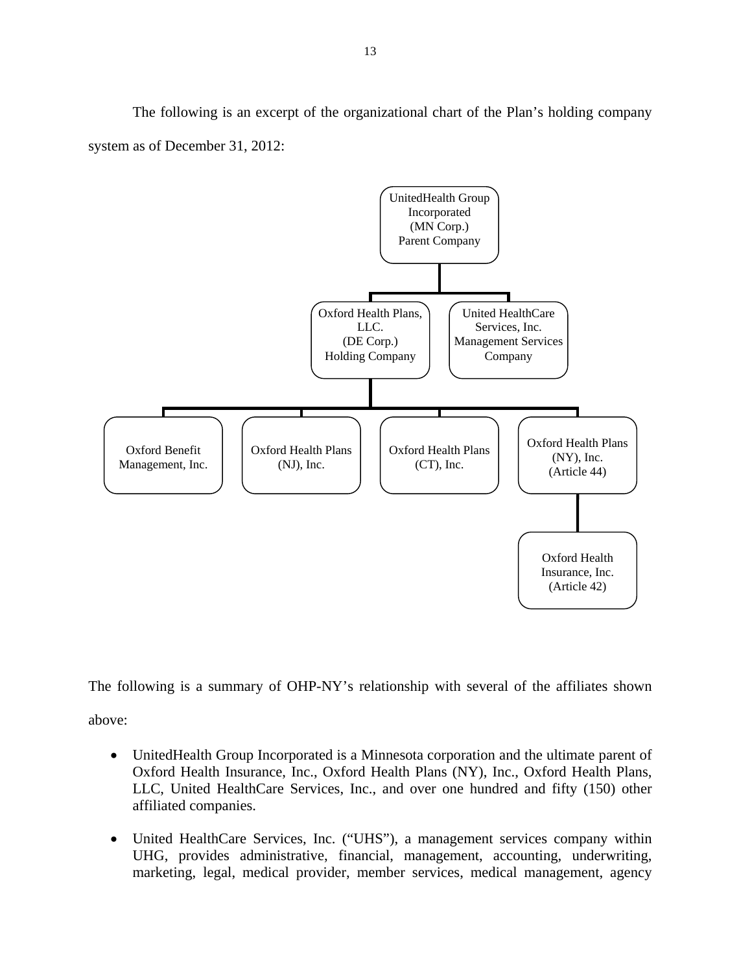The following is an excerpt of the organizational chart of the Plan's holding company system as of December 31, 2012:



The following is a summary of OHP-NY's relationship with several of the affiliates shown above:

- UnitedHealth Group Incorporated is a Minnesota corporation and the ultimate parent of Oxford Health Insurance, Inc., Oxford Health Plans (NY), Inc., Oxford Health Plans, LLC, United HealthCare Services, Inc., and over one hundred and fifty (150) other affiliated companies.
- United HealthCare Services, Inc. ("UHS"), a management services company within UHG, provides administrative, financial, management, accounting, underwriting, marketing, legal, medical provider, member services, medical management, agency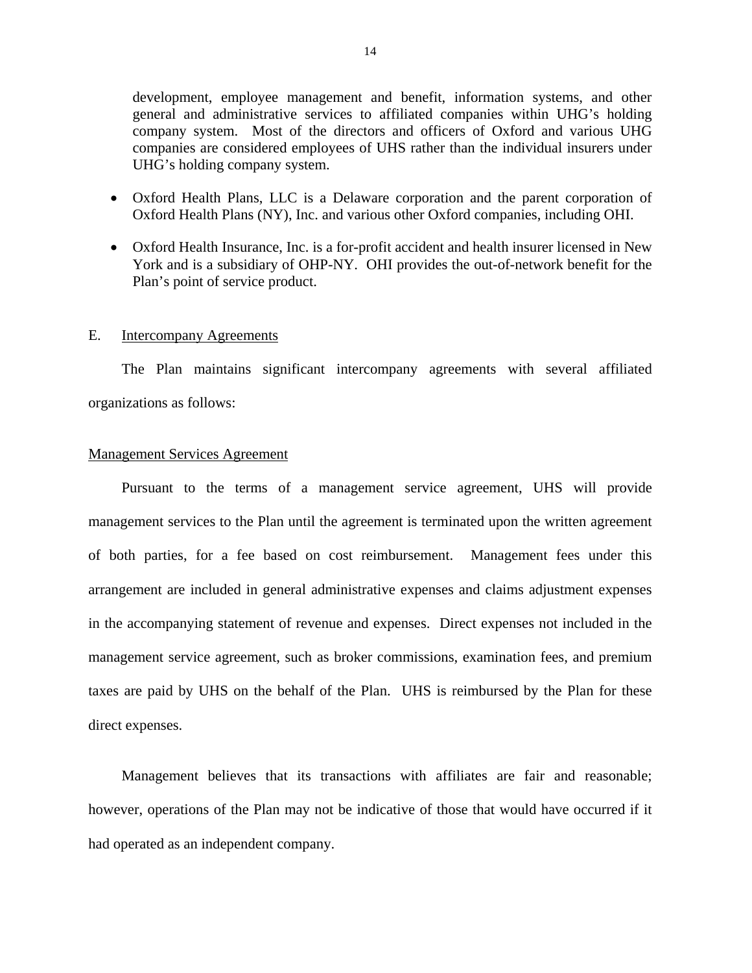<span id="page-15-0"></span>development, employee management and benefit, information systems, and other general and administrative services to affiliated companies within UHG's holding company system. Most of the directors and officers of Oxford and various UHG companies are considered employees of UHS rather than the individual insurers under UHG's holding company system.

- Oxford Health Plans, LLC is a Delaware corporation and the parent corporation of Oxford Health Plans (NY), Inc. and various other Oxford companies, including OHI.
- Oxford Health Insurance, Inc. is a for-profit accident and health insurer licensed in New York and is a subsidiary of OHP-NY. OHI provides the out-of-network benefit for the Plan's point of service product.

### E. Intercompany Agreements

The Plan maintains significant intercompany agreements with several affiliated organizations as follows:

### Management Services Agreement

Pursuant to the terms of a management service agreement, UHS will provide management services to the Plan until the agreement is terminated upon the written agreement of both parties, for a fee based on cost reimbursement. Management fees under this arrangement are included in general administrative expenses and claims adjustment expenses in the accompanying statement of revenue and expenses. Direct expenses not included in the management service agreement, such as broker commissions, examination fees, and premium taxes are paid by UHS on the behalf of the Plan. UHS is reimbursed by the Plan for these direct expenses.

Management believes that its transactions with affiliates are fair and reasonable; however, operations of the Plan may not be indicative of those that would have occurred if it had operated as an independent company.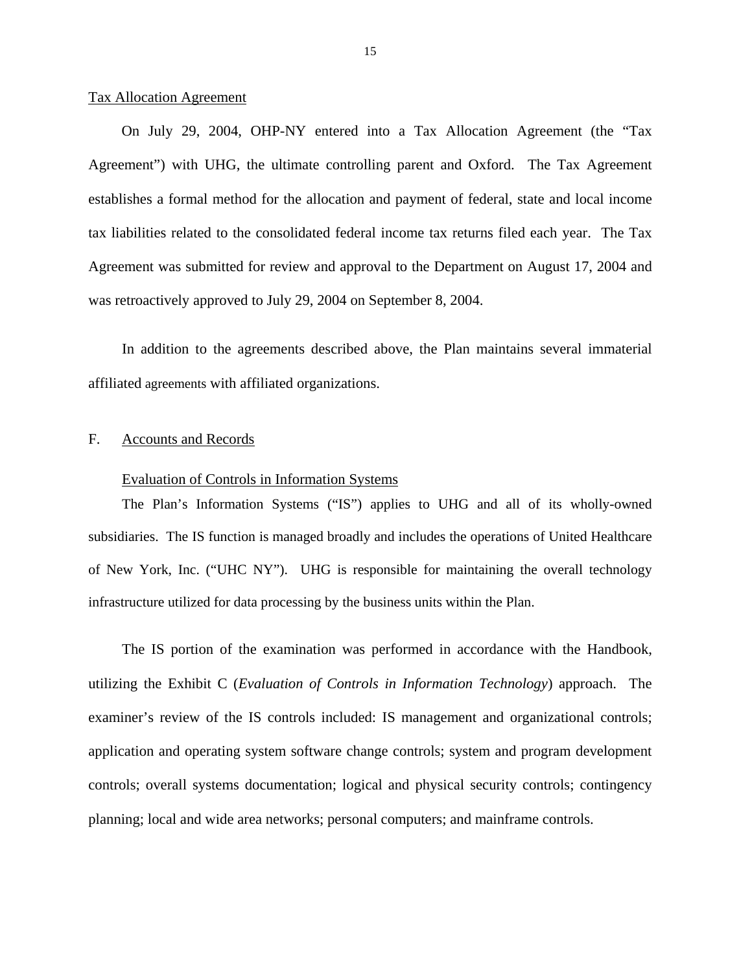### <span id="page-16-0"></span>Tax Allocation Agreement

On July 29, 2004, OHP-NY entered into a Tax Allocation Agreement (the "Tax Agreement") with UHG, the ultimate controlling parent and Oxford. The Tax Agreement establishes a formal method for the allocation and payment of federal, state and local income tax liabilities related to the consolidated federal income tax returns filed each year. The Tax Agreement was submitted for review and approval to the Department on August 17, 2004 and was retroactively approved to July 29, 2004 on September 8, 2004.

In addition to the agreements described above, the Plan maintains several immaterial affiliated agreements with affiliated organizations.

# F. Accounts and Records

### Evaluation of Controls in Information Systems

The Plan's Information Systems ("IS") applies to UHG and all of its wholly-owned subsidiaries. The IS function is managed broadly and includes the operations of United Healthcare of New York, Inc. ("UHC NY"). UHG is responsible for maintaining the overall technology infrastructure utilized for data processing by the business units within the Plan.

The IS portion of the examination was performed in accordance with the Handbook, utilizing the Exhibit C (*Evaluation of Controls in Information Technology*) approach. The examiner's review of the IS controls included: IS management and organizational controls; application and operating system software change controls; system and program development controls; overall systems documentation; logical and physical security controls; contingency planning; local and wide area networks; personal computers; and mainframe controls.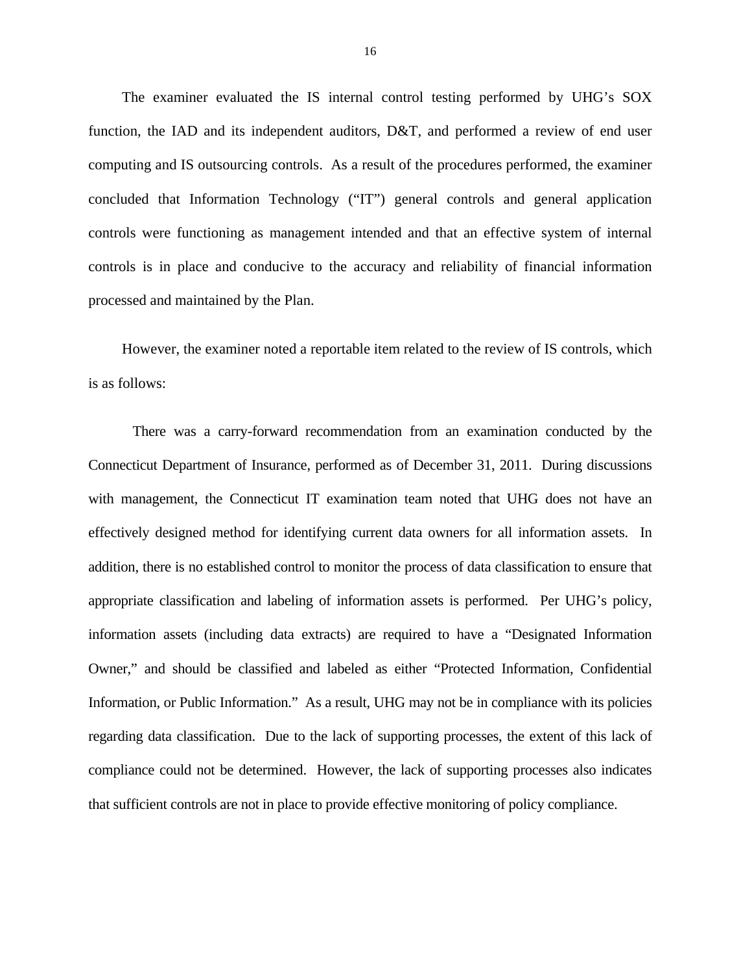The examiner evaluated the IS internal control testing performed by UHG's SOX function, the IAD and its independent auditors, D&T, and performed a review of end user computing and IS outsourcing controls. As a result of the procedures performed, the examiner concluded that Information Technology ("IT") general controls and general application controls were functioning as management intended and that an effective system of internal controls is in place and conducive to the accuracy and reliability of financial information processed and maintained by the Plan.

However, the examiner noted a reportable item related to the review of IS controls, which is as follows:

There was a carry-forward recommendation from an examination conducted by the Connecticut Department of Insurance, performed as of December 31, 2011. During discussions with management, the Connecticut IT examination team noted that UHG does not have an effectively designed method for identifying current data owners for all information assets. In addition, there is no established control to monitor the process of data classification to ensure that appropriate classification and labeling of information assets is performed. Per UHG's policy, information assets (including data extracts) are required to have a "Designated Information Owner," and should be classified and labeled as either "Protected Information, Confidential Information, or Public Information." As a result, UHG may not be in compliance with its policies regarding data classification. Due to the lack of supporting processes, the extent of this lack of compliance could not be determined. However, the lack of supporting processes also indicates that sufficient controls are not in place to provide effective monitoring of policy compliance.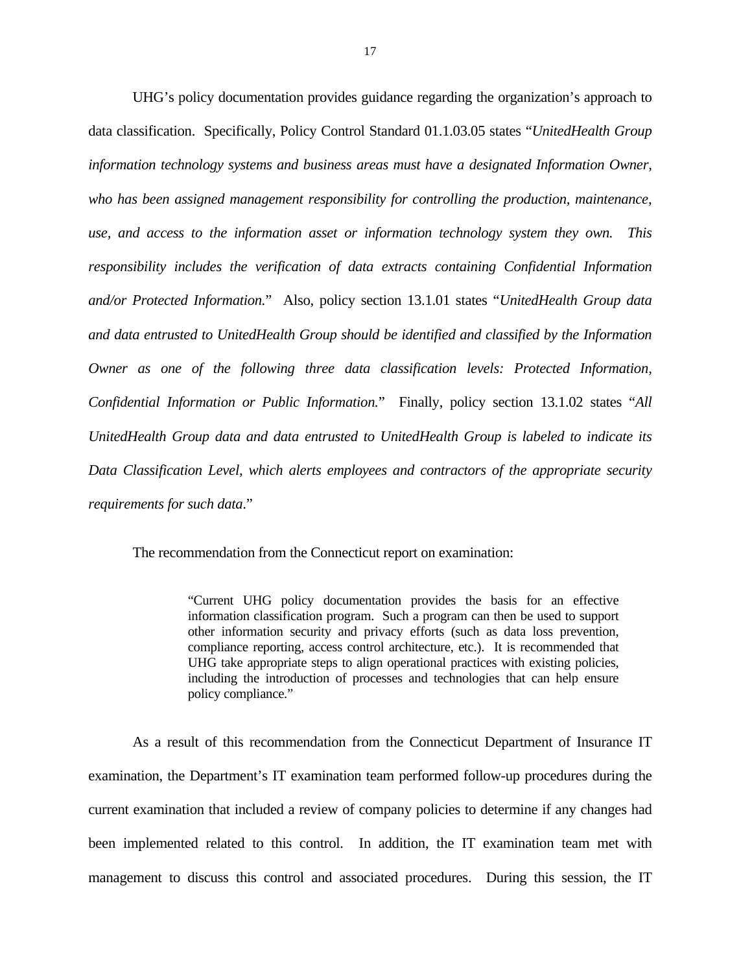UHG's policy documentation provides guidance regarding the organization's approach to data classification. Specifically, Policy Control Standard [01.1.03.05](https://01.1.03.05) states "*UnitedHealth Group information technology systems and business areas must have a designated Information Owner, who has been assigned management responsibility for controlling the production, maintenance, use, and access to the information asset or information technology system they own. This responsibility includes the verification of data extracts containing Confidential Information and/or Protected Information.*" Also, policy section 13.1.01 states "*UnitedHealth Group data and data entrusted to UnitedHealth Group should be identified and classified by the Information Owner as one of the following three data classification levels: Protected Information, Confidential Information or Public Information.*" Finally, policy section 13.1.02 states "*All UnitedHealth Group data and data entrusted to UnitedHealth Group is labeled to indicate its Data Classification Level, which alerts employees and contractors of the appropriate security requirements for such data*."

The recommendation from the Connecticut report on examination:

 other information security and privacy efforts (such as data loss prevention, "Current UHG policy documentation provides the basis for an effective information classification program. Such a program can then be used to support compliance reporting, access control architecture, etc.). It is recommended that UHG take appropriate steps to align operational practices with existing policies, including the introduction of processes and technologies that can help ensure policy compliance."

As a result of this recommendation from the Connecticut Department of Insurance IT examination, the Department's IT examination team performed follow-up procedures during the current examination that included a review of company policies to determine if any changes had been implemented related to this control. In addition, the IT examination team met with management to discuss this control and associated procedures. During this session, the IT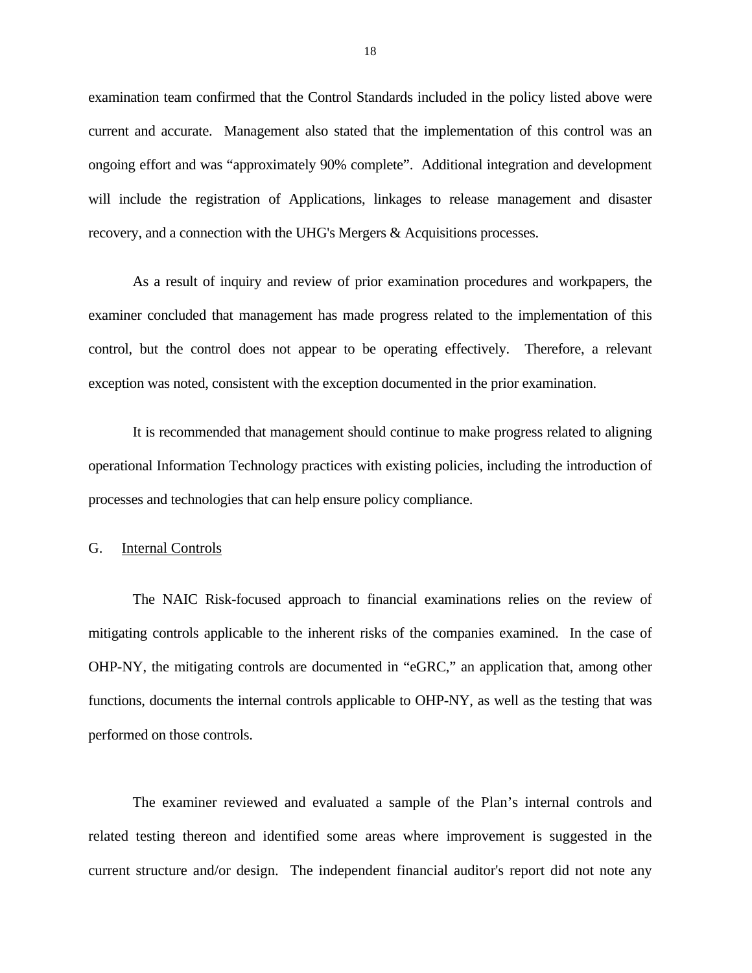<span id="page-19-0"></span>examination team confirmed that the Control Standards included in the policy listed above were current and accurate. Management also stated that the implementation of this control was an ongoing effort and was "approximately 90% complete". Additional integration and development will include the registration of Applications, linkages to release management and disaster recovery, and a connection with the UHG's Mergers & Acquisitions processes.

As a result of inquiry and review of prior examination procedures and workpapers, the examiner concluded that management has made progress related to the implementation of this control, but the control does not appear to be operating effectively. Therefore, a relevant exception was noted, consistent with the exception documented in the prior examination.

It is recommended that management should continue to make progress related to aligning operational Information Technology practices with existing policies, including the introduction of processes and technologies that can help ensure policy compliance.

### G. Internal Controls

The NAIC Risk-focused approach to financial examinations relies on the review of mitigating controls applicable to the inherent risks of the companies examined. In the case of OHP-NY, the mitigating controls are documented in "eGRC," an application that, among other functions, documents the internal controls applicable to OHP-NY, as well as the testing that was performed on those controls.

The examiner reviewed and evaluated a sample of the Plan's internal controls and related testing thereon and identified some areas where improvement is suggested in the current structure and/or design. The independent financial auditor's report did not note any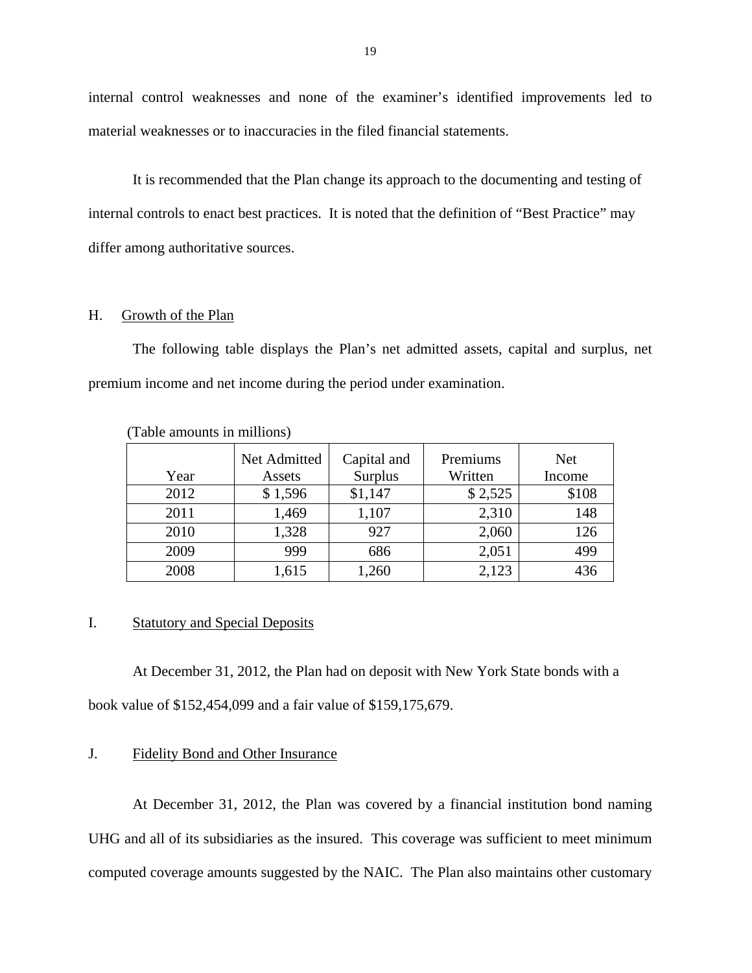internal control weaknesses and none of the examiner's identified improvements led to material weaknesses or to inaccuracies in the filed financial statements.

It is recommended that the Plan change its approach to the documenting and testing of internal controls to enact best practices. It is noted that the definition of "Best Practice" may differ among authoritative sources.

### H. Growth of the Plan

The following table displays the Plan's net admitted assets, capital and surplus, net premium income and net income during the period under examination.

| Year | Net Admitted<br>Assets | Capital and<br><b>Surplus</b> | Premiums<br>Written | <b>Net</b><br>Income |
|------|------------------------|-------------------------------|---------------------|----------------------|
| 2012 | \$1,596                | \$1,147                       | \$2,525             | \$108                |
| 2011 | 1,469                  | 1,107                         | 2,310               | 148                  |
| 2010 | 1,328                  | 927                           | 2,060               | 126                  |
| 2009 | 999                    | 686                           | 2,051               | 499                  |
| 2008 | 1,615                  | 1,260                         | 2,123               | 436                  |

(Table amounts in millions)

## I. Statutory and Special Deposits

At December 31, 2012, the Plan had on deposit with New York State bonds with a book value of \$152,454,099 and a fair value of \$159,175,679.

### J. Fidelity Bond and Other Insurance

At December 31, 2012, the Plan was covered by a financial institution bond naming UHG and all of its subsidiaries as the insured. This coverage was sufficient to meet minimum computed coverage amounts suggested by the NAIC. The Plan also maintains other customary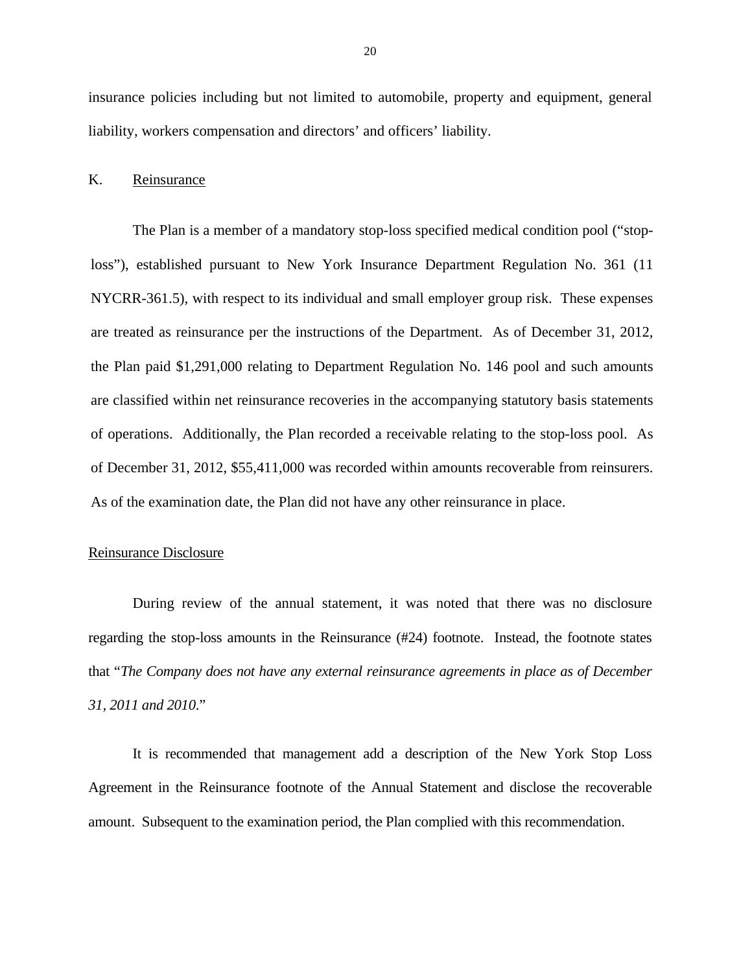<span id="page-21-0"></span>insurance policies including but not limited to automobile, property and equipment, general liability, workers compensation and directors' and officers' liability.

### K. Reinsurance

The Plan is a member of a mandatory stop-loss specified medical condition pool ("stoploss"), established pursuant to New York Insurance Department Regulation No. 361 (11 NYCRR-361.5), with respect to its individual and small employer group risk. These expenses are treated as reinsurance per the instructions of the Department. As of December 31, 2012, the Plan paid \$1,291,000 relating to Department Regulation No. 146 pool and such amounts are classified within net reinsurance recoveries in the accompanying statutory basis statements of operations. Additionally, the Plan recorded a receivable relating to the stop-loss pool. As of December 31, 2012, \$55,411,000 was recorded within amounts recoverable from reinsurers. As of the examination date, the Plan did not have any other reinsurance in place.

### Reinsurance Disclosure

 During review of the annual statement, it was noted that there was no disclosure regarding the stop-loss amounts in the Reinsurance (#24) footnote. Instead, the footnote states that "*The Company does not have any external reinsurance agreements in place as of December 31, 2011 and 2010*."

It is recommended that management add a description of the New York Stop Loss Agreement in the Reinsurance footnote of the Annual Statement and disclose the recoverable amount. Subsequent to the examination period, the Plan complied with this recommendation.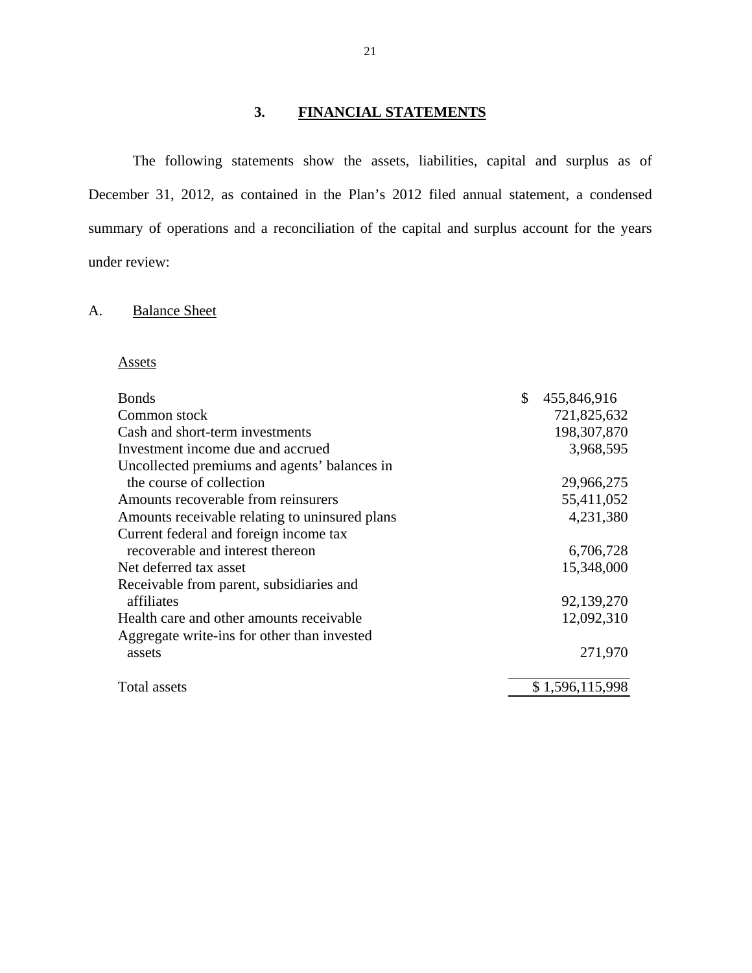# **3. FINANCIAL STATEMENTS**

<span id="page-22-0"></span>The following statements show the assets, liabilities, capital and surplus as of December 31, 2012, as contained in the Plan's 2012 filed annual statement, a condensed summary of operations and a reconciliation of the capital and surplus account for the years under review:

# A. Balance Sheet

# Assets

| <b>Bonds</b>                                   | \$<br>455,846,916 |
|------------------------------------------------|-------------------|
| Common stock                                   | 721,825,632       |
| Cash and short-term investments                | 198, 307, 870     |
| Investment income due and accrued              | 3,968,595         |
| Uncollected premiums and agents' balances in   |                   |
| the course of collection                       | 29,966,275        |
| Amounts recoverable from reinsurers            | 55,411,052        |
| Amounts receivable relating to uninsured plans | 4,231,380         |
| Current federal and foreign income tax         |                   |
| recoverable and interest thereon               | 6,706,728         |
| Net deferred tax asset                         | 15,348,000        |
| Receivable from parent, subsidiaries and       |                   |
| affiliates                                     | 92,139,270        |
| Health care and other amounts receivable       | 12,092,310        |
| Aggregate write-ins for other than invested    |                   |
| assets                                         | 271,970           |
| Total assets                                   | \$1,596,115,998   |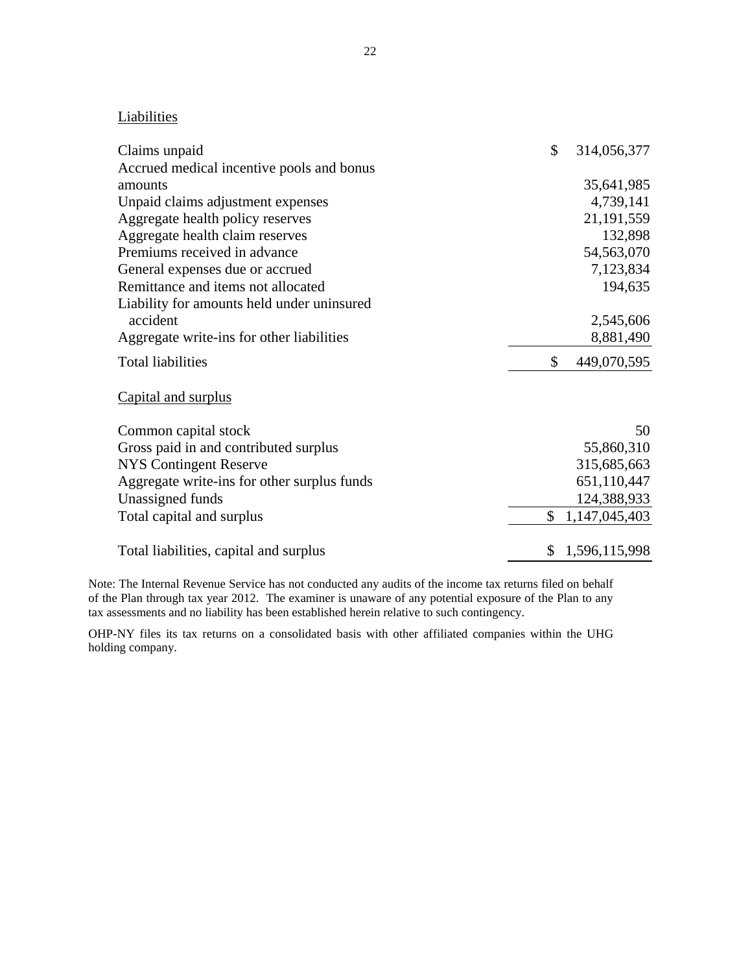# **Liabilities**

| Claims unpaid                               | \$<br>314,056,377   |
|---------------------------------------------|---------------------|
| Accrued medical incentive pools and bonus   |                     |
| amounts                                     | 35,641,985          |
| Unpaid claims adjustment expenses           | 4,739,141           |
| Aggregate health policy reserves            | 21, 191, 559        |
| Aggregate health claim reserves             | 132,898             |
| Premiums received in advance                | 54,563,070          |
| General expenses due or accrued             | 7,123,834           |
| Remittance and items not allocated          | 194,635             |
| Liability for amounts held under uninsured  |                     |
| accident                                    | 2,545,606           |
| Aggregate write-ins for other liabilities   | 8,881,490           |
|                                             |                     |
| <b>Total liabilities</b>                    | \$<br>449,070,595   |
| Capital and surplus                         |                     |
| Common capital stock                        | 50                  |
| Gross paid in and contributed surplus       | 55,860,310          |
| <b>NYS Contingent Reserve</b>               | 315,685,663         |
| Aggregate write-ins for other surplus funds | 651,110,447         |
| Unassigned funds                            | 124,388,933         |
| Total capital and surplus                   | \$<br>1,147,045,403 |

 Note: The Internal Revenue Service has not conducted any audits of the income tax returns filed on behalf of the Plan through tax year 2012. The examiner is unaware of any potential exposure of the Plan to any tax assessments and no liability has been established herein relative to such contingency.

OHP-NY files its tax returns on a consolidated basis with other affiliated companies within the UHG holding company.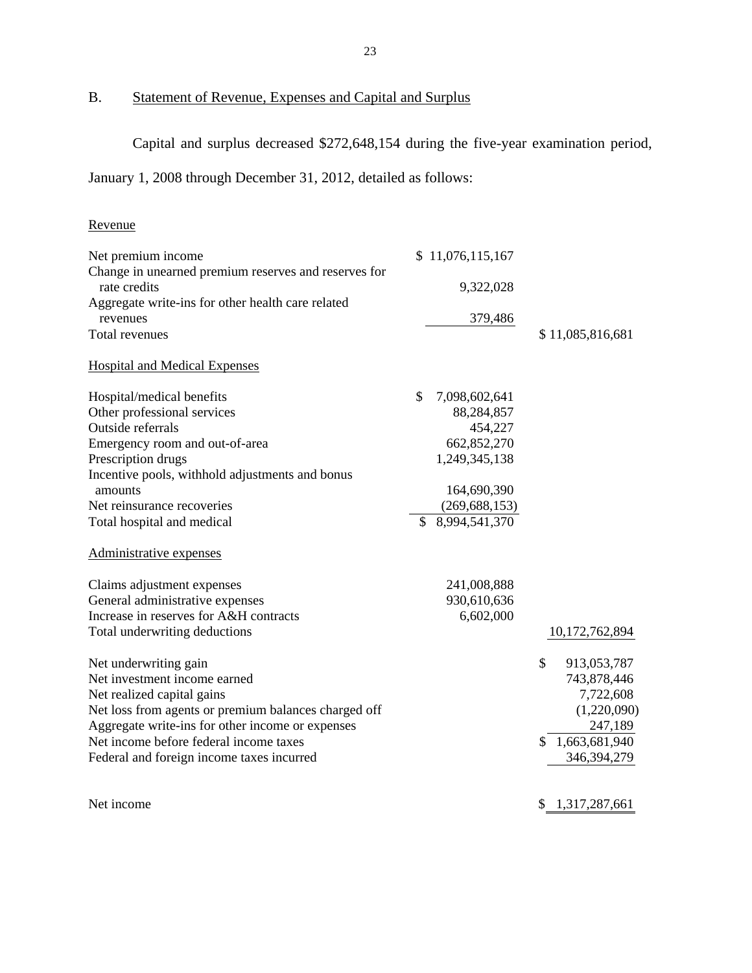# B. Statement of Revenue, Expenses and Capital and Surplus

Capital and surplus decreased \$272,648,154 during the five-year examination period,

January 1, 2008 through December 31, 2012, detailed as follows:

# Revenue

| Net premium income                                   | \$11,076,115,167    |              |                  |
|------------------------------------------------------|---------------------|--------------|------------------|
| Change in unearned premium reserves and reserves for |                     |              |                  |
| rate credits                                         | 9,322,028           |              |                  |
| Aggregate write-ins for other health care related    |                     |              |                  |
| revenues                                             | 379,486             |              |                  |
| <b>Total revenues</b>                                |                     |              | \$11,085,816,681 |
| <b>Hospital and Medical Expenses</b>                 |                     |              |                  |
| Hospital/medical benefits                            | \$<br>7,098,602,641 |              |                  |
| Other professional services                          | 88,284,857          |              |                  |
| Outside referrals                                    | 454,227             |              |                  |
| Emergency room and out-of-area                       | 662,852,270         |              |                  |
| Prescription drugs                                   | 1,249,345,138       |              |                  |
| Incentive pools, withhold adjustments and bonus      |                     |              |                  |
| amounts                                              | 164,690,390         |              |                  |
| Net reinsurance recoveries                           | (269, 688, 153)     |              |                  |
| Total hospital and medical                           | \$8,994,541,370     |              |                  |
| Administrative expenses                              |                     |              |                  |
| Claims adjustment expenses                           | 241,008,888         |              |                  |
| General administrative expenses                      | 930,610,636         |              |                  |
| Increase in reserves for A&H contracts               | 6,602,000           |              |                  |
| Total underwriting deductions                        |                     |              | 10,172,762,894   |
| Net underwriting gain                                |                     | $\mathbb{S}$ | 913,053,787      |
| Net investment income earned                         |                     |              | 743,878,446      |
| Net realized capital gains                           |                     |              | 7,722,608        |
| Net loss from agents or premium balances charged off |                     |              | (1,220,090)      |
| Aggregate write-ins for other income or expenses     |                     |              | 247,189          |
| Net income before federal income taxes               |                     |              | 1,663,681,940    |
| Federal and foreign income taxes incurred            |                     |              | 346, 394, 279    |
|                                                      |                     |              |                  |
| Net income                                           |                     |              | \$1,317,287,661  |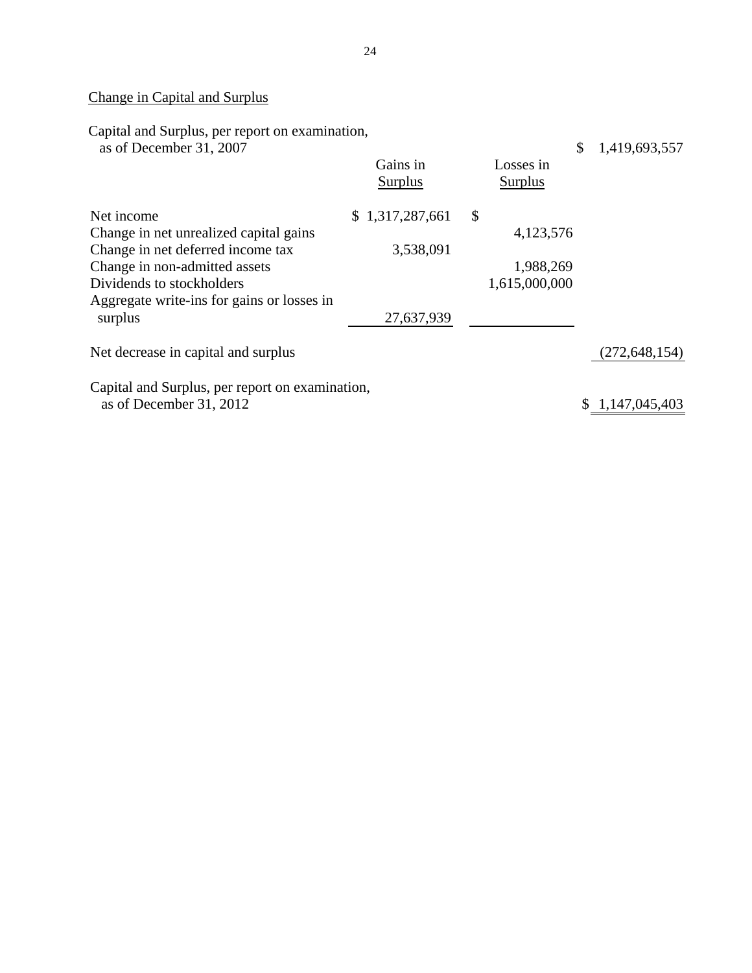# Change in Capital and Surplus

Capital and Surplus, per report on examination,

| as of December 31, 2007                                                    | Gains in<br>Surplus | Losses in<br><b>Surplus</b> | \$<br>1,419,693,557 |
|----------------------------------------------------------------------------|---------------------|-----------------------------|---------------------|
| Net income<br>Change in net unrealized capital gains                       | \$1,317,287,661     | \$<br>4,123,576             |                     |
| Change in net deferred income tax                                          | 3,538,091           |                             |                     |
| Change in non-admitted assets                                              |                     | 1,988,269                   |                     |
| Dividends to stockholders                                                  |                     | 1,615,000,000               |                     |
| Aggregate write-ins for gains or losses in<br>surplus                      | 27,637,939          |                             |                     |
| Net decrease in capital and surplus                                        |                     |                             | (272, 648, 154)     |
| Capital and Surplus, per report on examination,<br>as of December 31, 2012 |                     |                             | \$1,147,045,403     |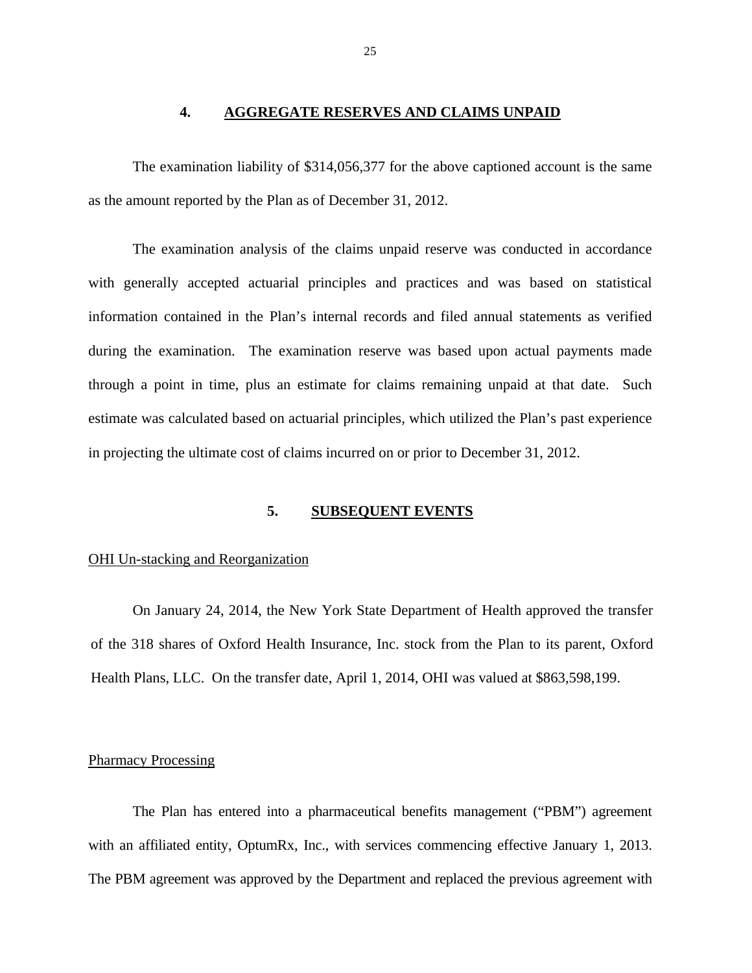### **4. AGGREGATE RESERVES AND CLAIMS UNPAID**

<span id="page-26-0"></span>The examination liability of \$314,056,377 for the above captioned account is the same as the amount reported by the Plan as of December 31, 2012.

The examination analysis of the claims unpaid reserve was conducted in accordance with generally accepted actuarial principles and practices and was based on statistical information contained in the Plan's internal records and filed annual statements as verified during the examination. The examination reserve was based upon actual payments made through a point in time, plus an estimate for claims remaining unpaid at that date. Such estimate was calculated based on actuarial principles, which utilized the Plan's past experience in projecting the ultimate cost of claims incurred on or prior to December 31, 2012.

#### **5. SUBSEQUENT EVENTS**

### OHI Un-stacking and Reorganization

On January 24, 2014, the New York State Department of Health approved the transfer of the 318 shares of Oxford Health Insurance, Inc. stock from the Plan to its parent, Oxford Health Plans, LLC. On the transfer date, April 1, 2014, OHI was valued at \$863,598,199.

### Pharmacy Processing

The Plan has entered into a pharmaceutical benefits management ("PBM") agreement with an affiliated entity, OptumRx, Inc., with services commencing effective January 1, 2013. The PBM agreement was approved by the Department and replaced the previous agreement with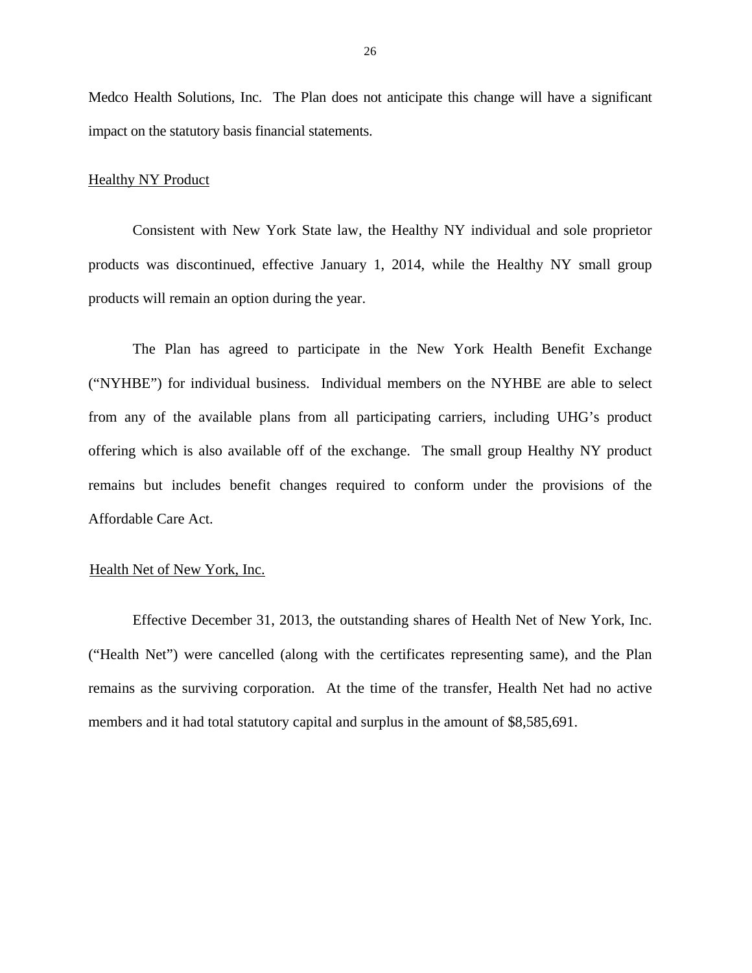Medco Health Solutions, Inc. The Plan does not anticipate this change will have a significant impact on the statutory basis financial statements.

### Healthy NY Product

Consistent with New York State law, the Healthy NY individual and sole proprietor products was discontinued, effective January 1, 2014, while the Healthy NY small group products will remain an option during the year.

The Plan has agreed to participate in the New York Health Benefit Exchange ("NYHBE") for individual business. Individual members on the NYHBE are able to select from any of the available plans from all participating carriers, including UHG's product offering which is also available off of the exchange. The small group Healthy NY product remains but includes benefit changes required to conform under the provisions of the Affordable Care Act.

### Health Net of New York, Inc.

Effective December 31, 2013, the outstanding shares of Health Net of New York, Inc. ("Health Net") were cancelled (along with the certificates representing same), and the Plan remains as the surviving corporation. At the time of the transfer, Health Net had no active members and it had total statutory capital and surplus in the amount of \$8,585,691.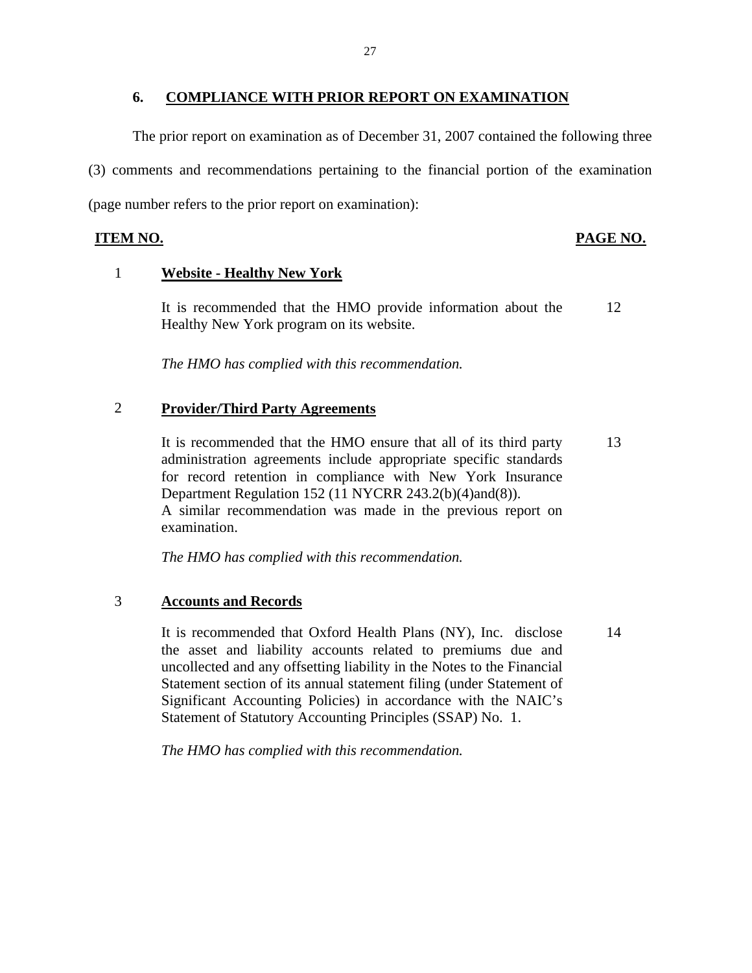# **6. COMPLIANCE WITH PRIOR REPORT ON EXAMINATION**

The prior report on examination as of December 31, 2007 contained the following three (3) comments and recommendations pertaining to the financial portion of the examination (page number refers to the prior report on examination):

**ITEM NO. PAGE NO. PAGE NO.** 

# 1 **Website - Healthy New York**

It is recommended that the HMO provide information about the Healthy New York program on its website. 12

*The HMO has complied with this recommendation.* 

# 2 **Provider/Third Party Agreements**

It is recommended that the HMO ensure that all of its third party administration agreements include appropriate specific standards for record retention in compliance with New York Insurance Department Regulation 152 (11 NYCRR 243.2(b)(4)and(8)). A similar recommendation was made in the previous report on examination. 13

*The HMO has complied with this recommendation.* 

# 3 **Accounts and Records**

It is recommended that Oxford Health Plans (NY), Inc. disclose the asset and liability accounts related to premiums due and uncollected and any offsetting liability in the Notes to the Financial Statement section of its annual statement filing (under Statement of Significant Accounting Policies) in accordance with the NAIC's Statement of Statutory Accounting Principles (SSAP) No. 1. 14

*The HMO has complied with this recommendation.*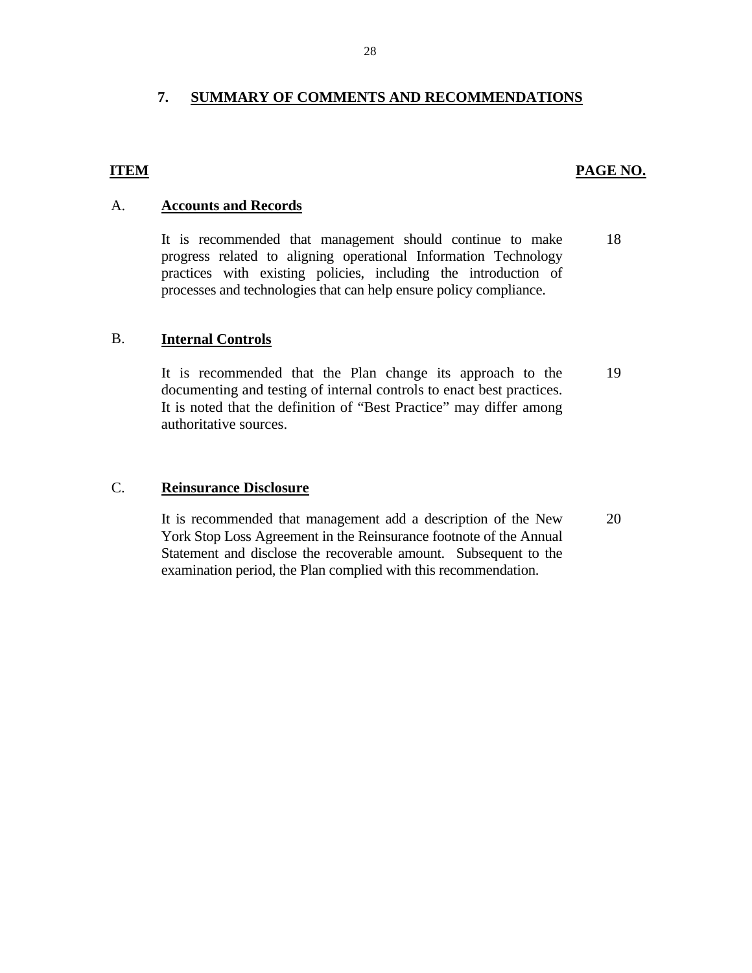# **7. SUMMARY OF COMMENTS AND RECOMMENDATIONS**

28

### **ITEM**

## **PAGE NO.**

### A. **Accounts and Records**

It is recommended that management should continue to make progress related to aligning operational Information Technology practices with existing policies, including the introduction of processes and technologies that can help ensure policy compliance. 18

# B. **Internal Controls**

It is recommended that the Plan change its approach to the documenting and testing of internal controls to enact best practices. It is noted that the definition of "Best Practice" may differ among authoritative sources. 19

# C. **Reinsurance Disclosure**

It is recommended that management add a description of the New York Stop Loss Agreement in the Reinsurance footnote of the Annual Statement and disclose the recoverable amount. Subsequent to the examination period, the Plan complied with this recommendation. 20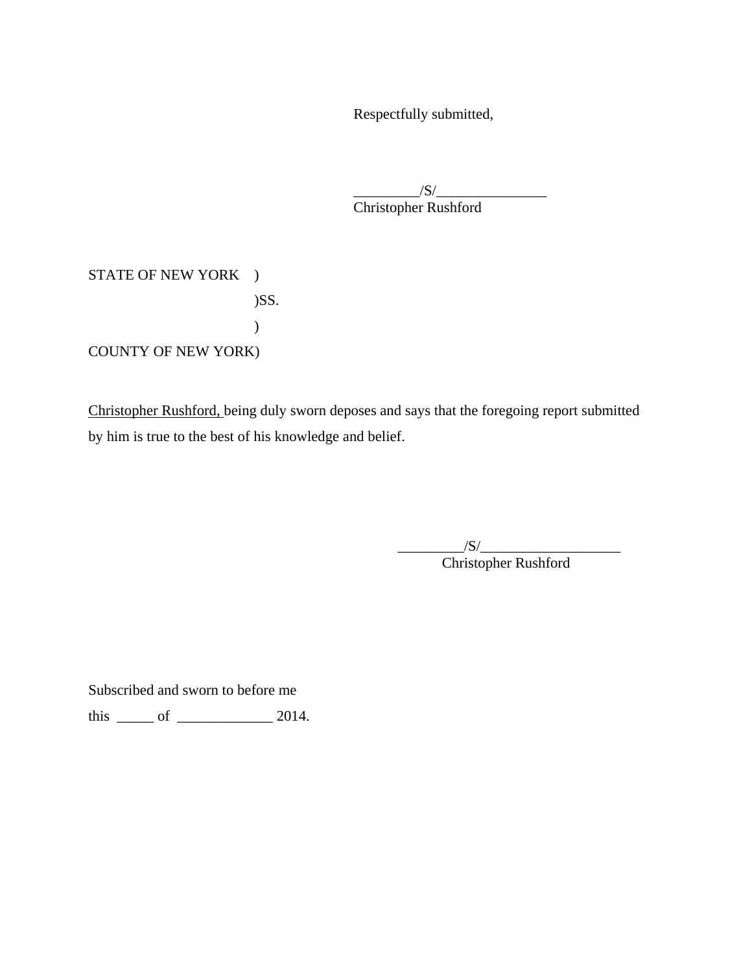Respectfully submitted,

 $\frac{1}{\sqrt{S}}$ Christopher Rushford

STATE OF NEW YORK ) )SS. ) COUNTY OF NEW YORK)

Christopher Rushford, being duly sworn deposes and says that the foregoing report submitted by him is true to the best of his knowledge and belief.

 $\frac{1}{\sqrt{S}}$ 

Christopher Rushford

Subscribed and sworn to before me

this \_\_\_\_\_ of \_\_\_\_\_\_\_\_\_\_\_\_\_ 2014.